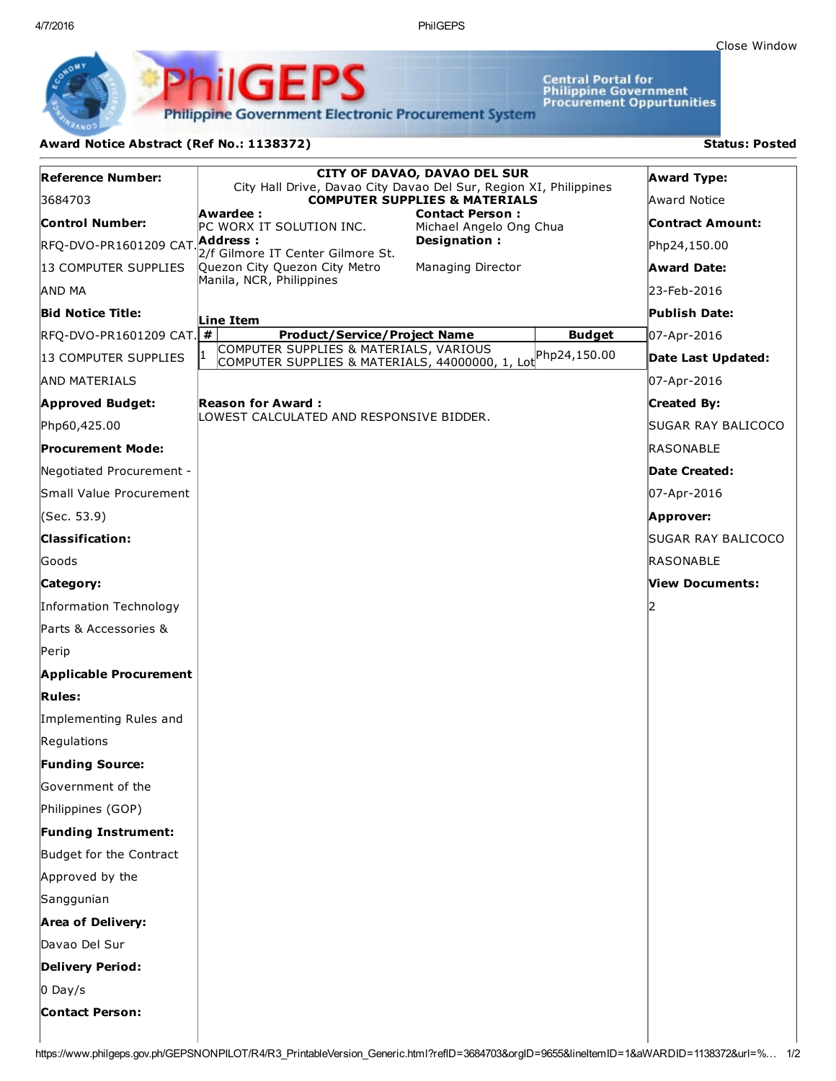Central Portal for<br>Philippine Government<br>Procurement Oppurtunities

**Philippine Government Electronic Procurement System** 

PS

## Award Notice Abstract (Ref No.: 1138372) Status: Posted

PhilGEI

| Reference Number:               | <b>CITY OF DAVAO, DAVAO DEL SUR</b><br>City Hall Drive, Davao City Davao Del Sur, Region XI, Philippines |                                                   |               | <b>Award Type:</b>      |
|---------------------------------|----------------------------------------------------------------------------------------------------------|---------------------------------------------------|---------------|-------------------------|
| 3684703                         | <b>COMPUTER SUPPLIES &amp; MATERIALS</b>                                                                 |                                                   |               | Award Notice            |
| <b>Control Number:</b>          | Awardee :<br>PC WORX IT SOLUTION INC.                                                                    | <b>Contact Person:</b><br>Michael Angelo Ong Chua |               | <b>Contract Amount:</b> |
| RFQ-DVO-PR1601209 CAT.Address:  | 2/f Gilmore IT Center Gilmore St.                                                                        | Designation:                                      |               | Php24,150.00            |
| 13 COMPUTER SUPPLIES            | Quezon City Quezon City Metro                                                                            | Managing Director                                 |               | <b>Award Date:</b>      |
| AND MA                          | Manila, NCR, Philippines                                                                                 |                                                   |               | 23-Feb-2016             |
| <b>Bid Notice Title:</b>        | Line Item                                                                                                |                                                   |               | Publish Date:           |
| <b>RFQ-DVO-PR1601209 CAT.</b> # | <b>Product/Service/Project Name</b>                                                                      |                                                   | <b>Budget</b> | 07-Apr-2016             |
| 13 COMPUTER SUPPLIES            | COMPUTER SUPPLIES & MATERIALS, VARIOUS<br>COMPUTER SUPPLIES & MATERIALS, 44000000, 1, Lot Php24,150.00   |                                                   |               | Date Last Updated:      |
| <b>AND MATERIALS</b>            |                                                                                                          |                                                   |               | 07-Apr-2016             |
| <b>Approved Budget:</b>         | <b>Reason for Award:</b>                                                                                 |                                                   |               | <b>Created By:</b>      |
| Php60,425.00                    | LOWEST CALCULATED AND RESPONSIVE BIDDER.                                                                 |                                                   |               | SUGAR RAY BALICOCO      |
| <b>Procurement Mode:</b>        |                                                                                                          |                                                   |               | <b>RASONABLE</b>        |
| Negotiated Procurement -        |                                                                                                          |                                                   |               | <b>Date Created:</b>    |
| Small Value Procurement         |                                                                                                          |                                                   |               | 07-Apr-2016             |
| (Sec. 53.9)                     |                                                                                                          |                                                   |               | Approver:               |
| <b>Classification:</b>          |                                                                                                          |                                                   |               | SUGAR RAY BALICOCO      |
| Goods                           |                                                                                                          |                                                   |               | RASONABLE               |
| Category:                       |                                                                                                          |                                                   |               | View Documents:         |
| Information Technology          |                                                                                                          |                                                   |               |                         |
| Parts & Accessories &           |                                                                                                          |                                                   |               |                         |
| Perip                           |                                                                                                          |                                                   |               |                         |
| <b>Applicable Procurement</b>   |                                                                                                          |                                                   |               |                         |
| <b>Rules:</b>                   |                                                                                                          |                                                   |               |                         |
| Implementing Rules and          |                                                                                                          |                                                   |               |                         |
| Regulations                     |                                                                                                          |                                                   |               |                         |
| <b>Funding Source:</b>          |                                                                                                          |                                                   |               |                         |
| Government of the               |                                                                                                          |                                                   |               |                         |
| Philippines (GOP)               |                                                                                                          |                                                   |               |                         |
| <b>Funding Instrument:</b>      |                                                                                                          |                                                   |               |                         |
| Budget for the Contract         |                                                                                                          |                                                   |               |                         |
| Approved by the                 |                                                                                                          |                                                   |               |                         |
| Sanggunian                      |                                                                                                          |                                                   |               |                         |
| <b>Area of Delivery:</b>        |                                                                                                          |                                                   |               |                         |
| Davao Del Sur                   |                                                                                                          |                                                   |               |                         |
| <b>Delivery Period:</b>         |                                                                                                          |                                                   |               |                         |
| $0$ Day/s                       |                                                                                                          |                                                   |               |                         |
| <b>Contact Person:</b>          |                                                                                                          |                                                   |               |                         |
|                                 |                                                                                                          |                                                   |               |                         |